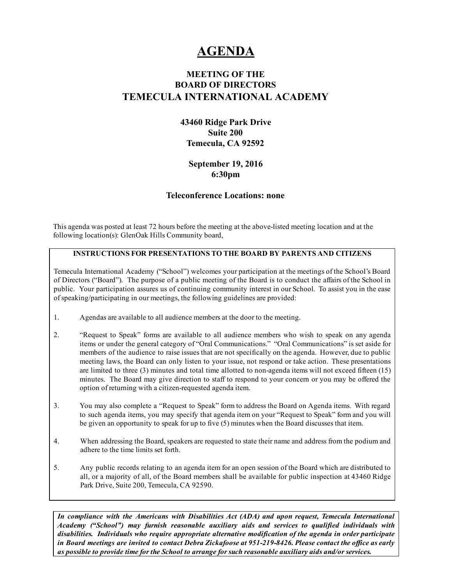# **AGENDA**

# MEETING OF THE BOARD OF DIRECTORS TEMECULA INTERNATIONAL ACADEMY

#### 43460 Ridge Park Drive Suite 200 Temecula, CA 92592

#### September 19, 2016 6:30pm

#### Teleconference Locations: none

This agenda was posted at least 72 hours before the meeting at the above-listed meeting location and at the following location(s): GlenOak Hills Community board,

#### INSTRUCTIONS FOR PRESENTATIONS TO THE BOARD BY PARENTS AND CITIZENS

Temecula International Academy ("School") welcomes your participation at the meetings of the School's Board of Directors ("Board"). The purpose of a public meeting of the Board is to conduct the affairs of the School in public. Your participation assures us of continuing community interest in our School. To assist you in the ease ofspeaking/participating in our meetings, the following guidelines are provided:

- 1. Agendas are available to all audience members at the door to the meeting.
- 2. "Request to Speak" forms are available to all audience members who wish to speak on any agenda items or under the general category of "Oral Communications." "Oral Communications" is set aside for members of the audience to raise issues that are not specifically on the agenda. However, due to public meeting laws, the Board can only listen to your issue, not respond or take action. These presentations are limited to three  $(3)$  minutes and total time allotted to non-agenda items will not exceed fifteen  $(15)$ minutes. The Board may give direction to staff to respond to your concern or you may be offered the option of returning with a citizen-requested agenda item.
- 3. You may also complete a "Request to Speak" form to address the Board on Agenda items. With regard to such agenda items, you may specify that agenda item on your "Request to Speak" form and you will be given an opportunity to speak for up to five (5) minutes when the Board discusses that item.
- 4. When addressing the Board, speakers are requested to state their name and address from the podium and adhere to the time limits set forth.
- 5. Any public records relating to an agenda item for an open session of the Board which are distributed to all, or a majority of all, of the Board members shall be available for public inspection at 43460 Ridge Park Drive, Suite 200, Temecula, CA 92590.

*In compliance with the Americans with Disabilities Act (ADA) and upon request, Temecula International Academy ("School") may furnish reasonable auxiliary aids and services to qualified individuals with disabilities. Individuals who require appropriate alternative modification of the agenda in order participate* in Board meetings are invited to contact Debra Zickafoose at 951-219-8426. Please contact the office as early *as possible to provide time for the School to arrange for such reasonable auxiliary aids and/or services.*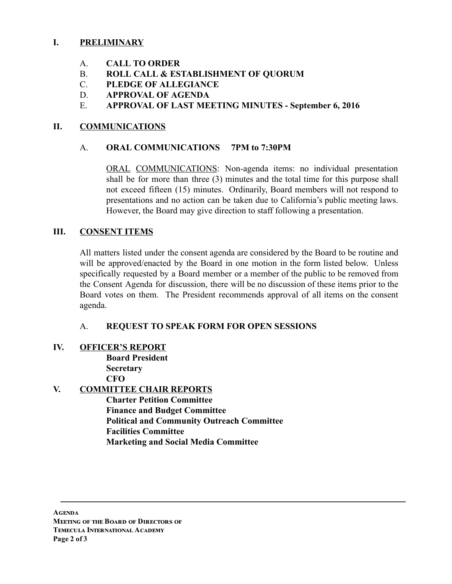### I. PRELIMINARY

- A. CALL TO ORDER
- B. ROLL CALL & ESTABLISHMENT OF QUORUM
- C. PLEDGE OF ALLEGIANCE
- D. APPROVAL OF AGENDA
- E. APPROVAL OF LAST MEETING MINUTES September 6, 2016

## II. COMMUNICATIONS

#### A. ORAL COMMUNICATIONS 7PM to 7:30PM

ORAL COMMUNICATIONS: Non-agenda items: no individual presentation shall be for more than three (3) minutes and the total time for this purpose shall not exceed fifteen (15) minutes. Ordinarily, Board members will not respond to presentations and no action can be taken due to California's public meeting laws. However, the Board may give direction to staff following a presentation.

### III. CONSENT ITEMS

All matters listed under the consent agenda are considered by the Board to be routine and will be approved/enacted by the Board in one motion in the form listed below. Unless specifically requested by a Board member or a member of the public to be removed from the Consent Agenda for discussion, there will be no discussion of these items prior to the Board votes on them. The President recommends approval of all items on the consent agenda.

# A. REQUEST TO SPEAK FORM FOR OPEN SESSIONS

#### IV. OFFICER'S REPORT

Board President **Secretary CFO** 

# V. COMMITTEE CHAIR REPORTS

Charter Petition Committee Finance and Budget Committee Political and Community Outreach Committee Facilities Committee Marketing and Social Media Committee